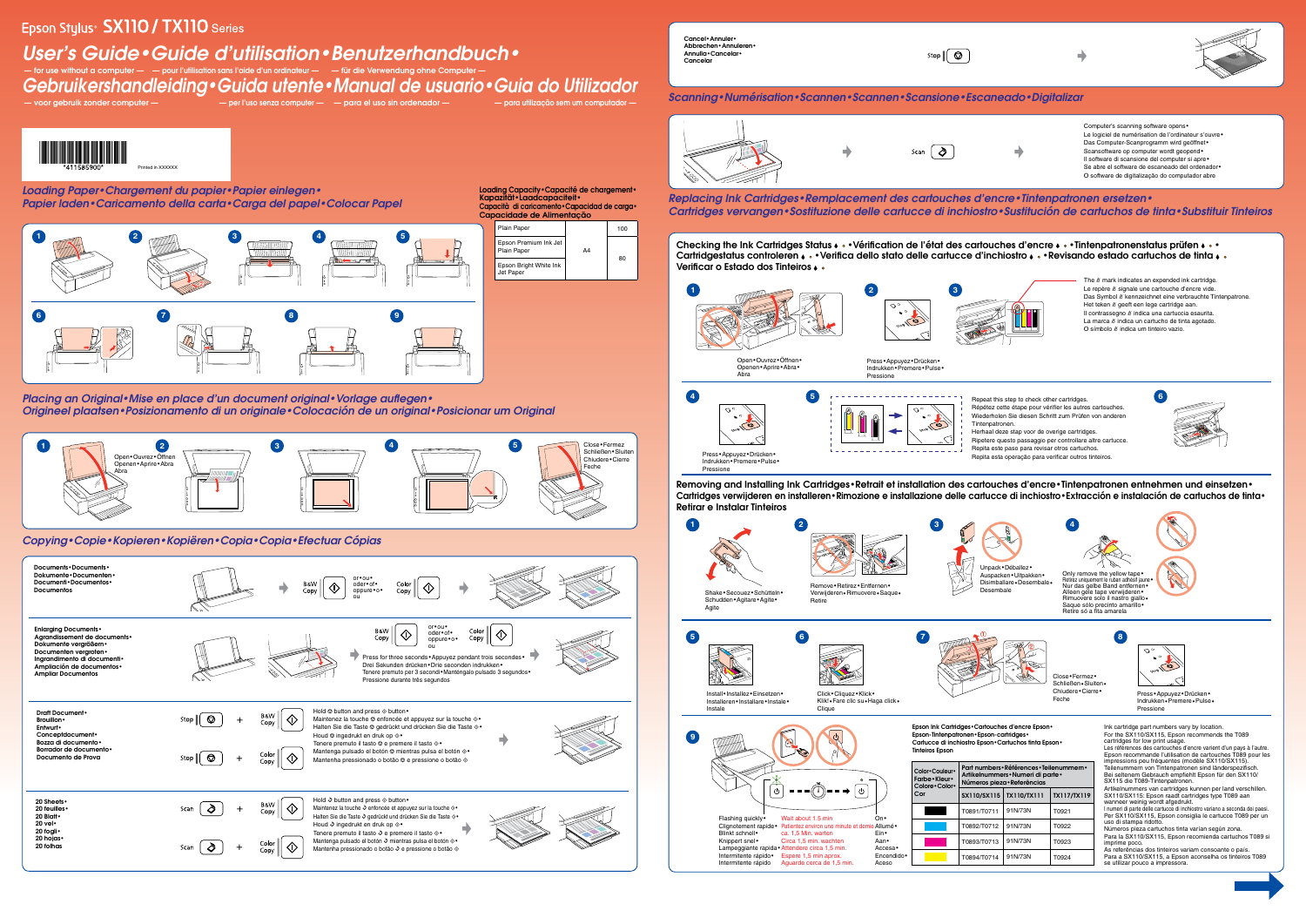Printed in XXXXXX

Epson Stylus<sup>®</sup> SX110 / TX110 Series

+

B&W

Copy

Color

+

Copy

 $\Diamond$ 

 $\langle \rangle$ 

+

 $\Diamond$ 

+

# *User's Guide•Guide d'utilisation•Benutzerhandbuch•*

— for use without a computer — — pour l'utilisation sans l'aide d'un ordinateur — — für die Verwendung ohne Computer —

# *Gebruikershandleiding•Guida utente•Manual de usuario•Guia do Utilizador*

— voor gebruik zonder computer — — per l'uso senza computer — — para el uso sin ordenador — — para utilização sem um computador —

*Loading Paper•Chargement du papier•Papier einlegen•*

**1 1 2 3 4 4** 

*Papier laden•Caricamento della carta•Carga del papel•Colocar Papel*

Checking the Ink Cartridges Status • • Vérification de l'état des cartouches d'encre • • • Tintenpatronenstatus prüfen • • • Cartridgestatus controleren  $\cdots$ Verifica dello stato delle cartucce d'inchiostro  $\cdots$ Revisando estado cartuchos de tinta  $\cdots$ Verificar o Estado dos Tinteiros

Scan  $\big| \diamondsuit$ 

Le repère  $\&$  signale une cartouche d'encre vide. Das Symbol  $\&$  kennzeichnet eine verbrauchte Tintenpatrone. Het teken  $\&$  geeft een lege cartridge aan. Il contrassegno  $\&$  indica una cartuccia esaurita. La marca  $\&$  indica un cartucho de tinta agotado. O símbolo  $\&$  indica um tinteiro vazio.

*Copying•Copie•Kopieren•Kopiëren•Copia•Copia•Efectuar Cópias*

*Placing an Original•Mise en place d'un document original•Vorlage auflegen•*

*Origineel plaatsen•Posizionamento di un originale•Colocación de un original•Posicionar um Original*

## *Replacing Ink Cartridges•Remplacement des cartouches d'encre•Tintenpatronen ersetzen• Cartridges vervangen•Sostituzione delle cartucce di inchiostro•Sustitución de cartuchos de tinta•Substituir Tinteiros*

Enlarging Documents•

Agrandissement de documents• Dokumente vergrößern• Documenten vergroten• Ingrandimento di documenti• Ampliación de documentos• Ampliar Documentos

Documents•Documents• Dokumente•Documenten• Documenti•Documentos•

Removing and Installing Ink Cartridges•Retrait et installation des cartouches d'encre•Tintenpatronen entnehmen und einsetzen• Cartridges verwijderen en installeren•Rimozione e installazione delle cartucce di inchiostro•Extracción e instalación de cartuchos de tinta• Retirar e Instalar Tinteiros

Plain Paper

A4

100

Epson Premium Ink Jet

Plain Paper

80

Epson Bright White Ink





Jet Paper

Loading Capacity•Capacité de chargement•

Kapazität•Laadcapaciteit•

Capacità di caricamento•Capacidad de carga•

Capacidade de Alimentação

| Cancel • Annuler •<br>Abbrechen • Annuleren •<br>Annulla • Cancelar •<br>Cancelar | ♡<br>Stop                                                                         |                                                                                                                                          |  |
|-----------------------------------------------------------------------------------|-----------------------------------------------------------------------------------|------------------------------------------------------------------------------------------------------------------------------------------|--|
|                                                                                   | Scanning • Numérisation • Scannen • Scannen • Scansione • Escaneado • Digitalizar |                                                                                                                                          |  |
|                                                                                   |                                                                                   | Computer's scanning software opens.<br>Le logiciel de numérisation de l'ordinateur s'ouvre •<br>Das Computer-Scanprogramm wird geöffnet• |  |

**6 7**

**1 2 3**

**9**

**5**

**4 5**

Press for three seconds•Appuyez pendant trois secondes• Drei Sekunden drücken•Drie seconden indrukken•

20 Sheets• 20 feuilles• 20 Blatt• 20 vel• 20 fogli• 20 hojas• 20 folhas

Tenere premuto per 3 secondi•Manténgalo pulsado 3 segundos•

Color

Copy

♦

Pressione durante três segundos

♦

Maintenez la touche  $\otimes$  enfoncée et appuyez sur la touche  $\otimes \bullet$ Halten Sie die Taste  $\circledcirc$  gedrückt und drücken Sie die Taste  $\diamondsuit^\bullet$ 

or•ou• oder•of• oppure•o• ou

◆

Draft Document• Brouillon• Entwurf•

Conceptdocument• Bozza di documento• Borrador de documento• Documento de Prova

**Documentos** 

Open•Ouvrez•Öffnen Openen•Aprire•Abra

Abra

Close•Fermez Schließen•Sluiten Chiudere•Cierre

Feche





**8**





















Scansoftware op computer wordt geopend• Il software di scansione del computer si apre• Se abre el software de escaneado del ordenador• O software de digitalização do computador abre





Hold  $\otimes$  button and press  $\otimes$  button •

Houd  $\otimes$  ingedrukt en druk op  $\diamondsuit \bullet$ 

Tenere premuto il tasto  $\circledcirc$  e premere il tasto  $\diamondsuit\bullet$ Mantenga pulsado el botón ® mientras pulsa el botón «• Mantenha pressionado o botão  $\circledast$  e pressione o botão  $\diamondsuit$ 

B&W

Copy

or•ou• oder•of• oppure•o• ou